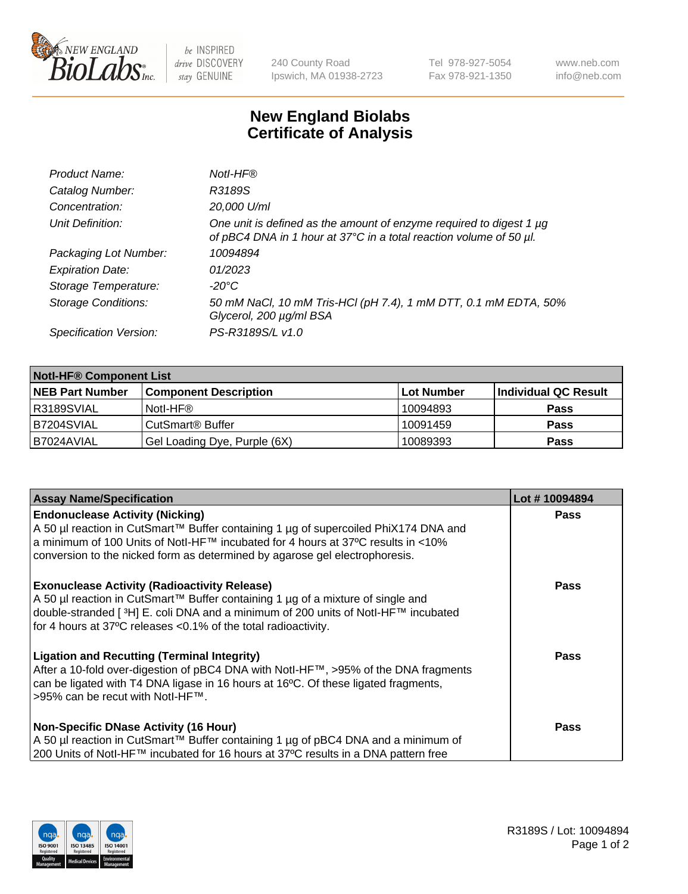

be INSPIRED drive DISCOVERY stay GENUINE

240 County Road Ipswich, MA 01938-2723 Tel 978-927-5054 Fax 978-921-1350 www.neb.com info@neb.com

## **New England Biolabs Certificate of Analysis**

| Product Name:              | Notl-HF®                                                                                                                                  |
|----------------------------|-------------------------------------------------------------------------------------------------------------------------------------------|
| Catalog Number:            | R3189S                                                                                                                                    |
| Concentration:             | 20,000 U/ml                                                                                                                               |
| Unit Definition:           | One unit is defined as the amount of enzyme required to digest 1 µg<br>of pBC4 DNA in 1 hour at 37°C in a total reaction volume of 50 µl. |
| Packaging Lot Number:      | 10094894                                                                                                                                  |
| <b>Expiration Date:</b>    | 01/2023                                                                                                                                   |
| Storage Temperature:       | $-20^{\circ}$ C                                                                                                                           |
| <b>Storage Conditions:</b> | 50 mM NaCl, 10 mM Tris-HCl (pH 7.4), 1 mM DTT, 0.1 mM EDTA, 50%<br>Glycerol, 200 µg/ml BSA                                                |
| Specification Version:     | PS-R3189S/L v1.0                                                                                                                          |

| <b>Notl-HF® Component List</b> |                              |            |                      |  |
|--------------------------------|------------------------------|------------|----------------------|--|
| <b>NEB Part Number</b>         | <b>Component Description</b> | Lot Number | Individual QC Result |  |
| R3189SVIAL                     | Notl-HF®                     | 10094893   | <b>Pass</b>          |  |
| B7204SVIAL                     | CutSmart <sup>®</sup> Buffer | 10091459   | <b>Pass</b>          |  |
| IB7024AVIAL                    | Gel Loading Dye, Purple (6X) | 10089393   | <b>Pass</b>          |  |

| <b>Assay Name/Specification</b>                                                                                                                                                                                                                                                                 | Lot #10094894 |
|-------------------------------------------------------------------------------------------------------------------------------------------------------------------------------------------------------------------------------------------------------------------------------------------------|---------------|
| <b>Endonuclease Activity (Nicking)</b><br>A 50 µl reaction in CutSmart™ Buffer containing 1 µg of supercoiled PhiX174 DNA and                                                                                                                                                                   | <b>Pass</b>   |
| a minimum of 100 Units of Notl-HF™ incubated for 4 hours at 37°C results in <10%<br>conversion to the nicked form as determined by agarose gel electrophoresis.                                                                                                                                 |               |
| <b>Exonuclease Activity (Radioactivity Release)</b><br>  A 50 µl reaction in CutSmart™ Buffer containing 1 µg of a mixture of single and<br>double-stranded [3H] E. coli DNA and a minimum of 200 units of Notl-HF™ incubated<br>for 4 hours at 37°C releases <0.1% of the total radioactivity. | <b>Pass</b>   |
| Ligation and Recutting (Terminal Integrity)<br>After a 10-fold over-digestion of pBC4 DNA with Notl-HF™, >95% of the DNA fragments<br>can be ligated with T4 DNA ligase in 16 hours at 16 <sup>o</sup> C. Of these ligated fragments,<br> >95% can be recut with NotI-HF™.                      | <b>Pass</b>   |
| <b>Non-Specific DNase Activity (16 Hour)</b>                                                                                                                                                                                                                                                    | <b>Pass</b>   |
| A 50 µl reaction in CutSmart™ Buffer containing 1 µg of pBC4 DNA and a minimum of<br>200 Units of Notl-HF™ incubated for 16 hours at 37°C results in a DNA pattern free                                                                                                                         |               |